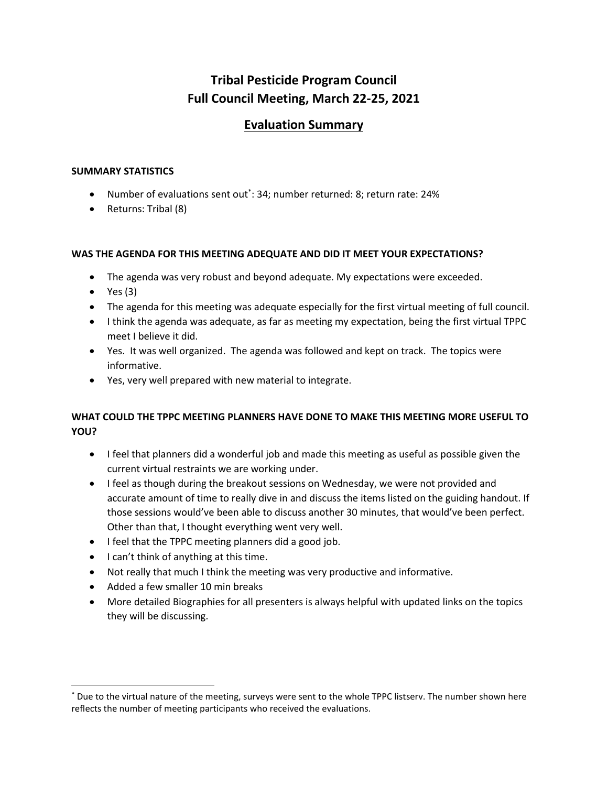# **Tribal Pesticide Program Council Full Council Meeting, March 22-25, 2021**

## **Evaluation Summary**

### **SUMMARY STATISTICS**

- Number of evaluations sent out\*: 34; number returned: 8; return rate: 24%
- Returns: Tribal (8)

### **WAS THE AGENDA FOR THIS MEETING ADEQUATE AND DID IT MEET YOUR EXPECTATIONS?**

- The agenda was very robust and beyond adequate. My expectations were exceeded.
- $\bullet$  Yes (3)

 $\overline{\phantom{a}}$ 

- The agenda for this meeting was adequate especially for the first virtual meeting of full council.
- I think the agenda was adequate, as far as meeting my expectation, being the first virtual TPPC meet I believe it did.
- Yes. It was well organized. The agenda was followed and kept on track. The topics were informative.
- Yes, very well prepared with new material to integrate.

## **WHAT COULD THE TPPC MEETING PLANNERS HAVE DONE TO MAKE THIS MEETING MORE USEFUL TO YOU?**

- I feel that planners did a wonderful job and made this meeting as useful as possible given the current virtual restraints we are working under.
- I feel as though during the breakout sessions on Wednesday, we were not provided and accurate amount of time to really dive in and discuss the items listed on the guiding handout. If those sessions would've been able to discuss another 30 minutes, that would've been perfect. Other than that, I thought everything went very well.
- I feel that the TPPC meeting planners did a good job.
- I can't think of anything at this time.
- Not really that much I think the meeting was very productive and informative.
- Added a few smaller 10 min breaks
- More detailed Biographies for all presenters is always helpful with updated links on the topics they will be discussing.

<sup>\*</sup> Due to the virtual nature of the meeting, surveys were sent to the whole TPPC listserv. The number shown here reflects the number of meeting participants who received the evaluations.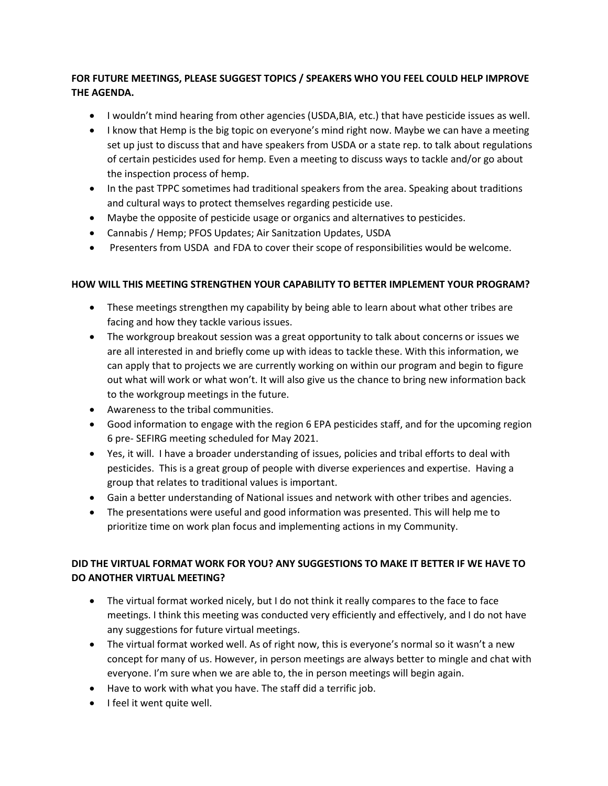## **FOR FUTURE MEETINGS, PLEASE SUGGEST TOPICS / SPEAKERS WHO YOU FEEL COULD HELP IMPROVE THE AGENDA.**

- I wouldn't mind hearing from other agencies (USDA,BIA, etc.) that have pesticide issues as well.
- I know that Hemp is the big topic on everyone's mind right now. Maybe we can have a meeting set up just to discuss that and have speakers from USDA or a state rep. to talk about regulations of certain pesticides used for hemp. Even a meeting to discuss ways to tackle and/or go about the inspection process of hemp.
- In the past TPPC sometimes had traditional speakers from the area. Speaking about traditions and cultural ways to protect themselves regarding pesticide use.
- Maybe the opposite of pesticide usage or organics and alternatives to pesticides.
- Cannabis / Hemp; PFOS Updates; Air Sanitzation Updates, USDA
- Presenters from USDA and FDA to cover their scope of responsibilities would be welcome.

### **HOW WILL THIS MEETING STRENGTHEN YOUR CAPABILITY TO BETTER IMPLEMENT YOUR PROGRAM?**

- These meetings strengthen my capability by being able to learn about what other tribes are facing and how they tackle various issues.
- The workgroup breakout session was a great opportunity to talk about concerns or issues we are all interested in and briefly come up with ideas to tackle these. With this information, we can apply that to projects we are currently working on within our program and begin to figure out what will work or what won't. It will also give us the chance to bring new information back to the workgroup meetings in the future.
- Awareness to the tribal communities.
- Good information to engage with the region 6 EPA pesticides staff, and for the upcoming region 6 pre- SEFIRG meeting scheduled for May 2021.
- Yes, it will. I have a broader understanding of issues, policies and tribal efforts to deal with pesticides. This is a great group of people with diverse experiences and expertise. Having a group that relates to traditional values is important.
- Gain a better understanding of National issues and network with other tribes and agencies.
- The presentations were useful and good information was presented. This will help me to prioritize time on work plan focus and implementing actions in my Community.

## **DID THE VIRTUAL FORMAT WORK FOR YOU? ANY SUGGESTIONS TO MAKE IT BETTER IF WE HAVE TO DO ANOTHER VIRTUAL MEETING?**

- The virtual format worked nicely, but I do not think it really compares to the face to face meetings. I think this meeting was conducted very efficiently and effectively, and I do not have any suggestions for future virtual meetings.
- The virtual format worked well. As of right now, this is everyone's normal so it wasn't a new concept for many of us. However, in person meetings are always better to mingle and chat with everyone. I'm sure when we are able to, the in person meetings will begin again.
- Have to work with what you have. The staff did a terrific job.
- **I** feel it went quite well.